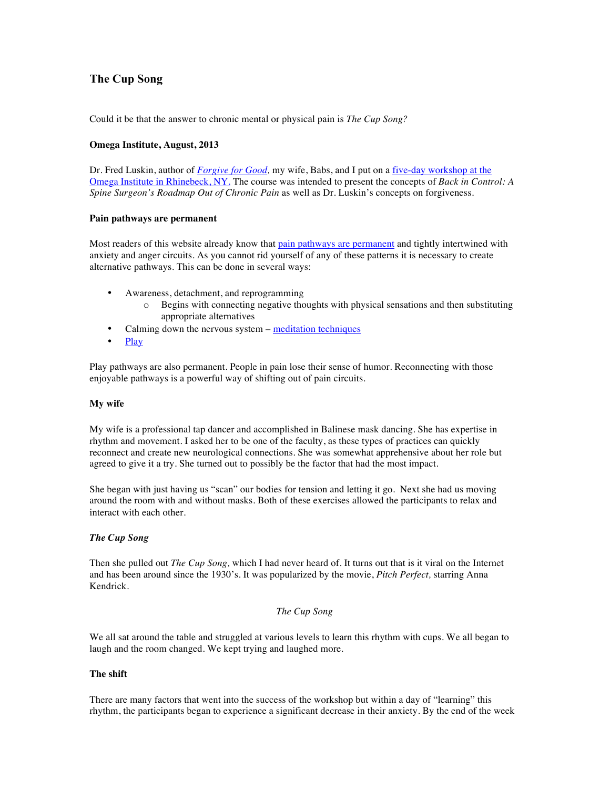# **The Cup Song**

Could it be that the answer to chronic mental or physical pain is *The Cup Song?*

### **Omega Institute, August, 2013**

Dr. Fred Luskin, author of *Forgive for Good,* my wife, Babs, and I put on a five-day workshop at the Omega Institute in Rhinebeck, NY. The course was intended to present the concepts of *Back in Control: A Spine Surgeon's Roadmap Out of Chronic Pain* as well as Dr. Luskin's concepts on forgiveness.

## **Pain pathways are permanent**

Most readers of this website already know that pain pathways are permanent and tightly intertwined with anxiety and anger circuits. As you cannot rid yourself of any of these patterns it is necessary to create alternative pathways. This can be done in several ways:

- Awareness, detachment, and reprogramming
	- $\circ$  Begins with connecting negative thoughts with physical sensations and then substituting appropriate alternatives
- Calming down the nervous system  $-\frac{mediation\ techniques}$
- Play

Play pathways are also permanent. People in pain lose their sense of humor. Reconnecting with those enjoyable pathways is a powerful way of shifting out of pain circuits.

## **My wife**

My wife is a professional tap dancer and accomplished in Balinese mask dancing. She has expertise in rhythm and movement. I asked her to be one of the faculty, as these types of practices can quickly reconnect and create new neurological connections. She was somewhat apprehensive about her role but agreed to give it a try. She turned out to possibly be the factor that had the most impact.

She began with just having us "scan" our bodies for tension and letting it go. Next she had us moving around the room with and without masks. Both of these exercises allowed the participants to relax and interact with each other.

## *The Cup Song*

Then she pulled out *The Cup Song,* which I had never heard of. It turns out that is it viral on the Internet and has been around since the 1930's. It was popularized by the movie, *Pitch Perfect,* starring Anna Kendrick.

#### *The Cup Song*

We all sat around the table and struggled at various levels to learn this rhythm with cups. We all began to laugh and the room changed. We kept trying and laughed more.

#### **The shift**

There are many factors that went into the success of the workshop but within a day of "learning" this rhythm, the participants began to experience a significant decrease in their anxiety. By the end of the week